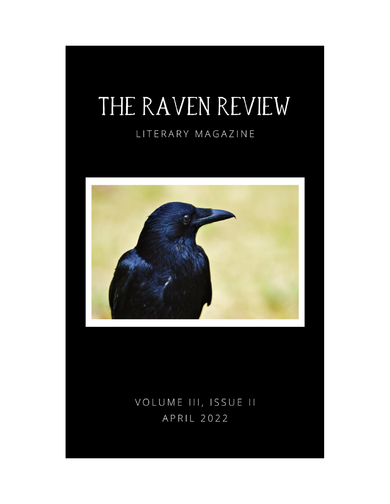## THE RAVEN REVIEW

## LITERARY MAGAZINE



VOLUME III, ISSUE II APRIL 2022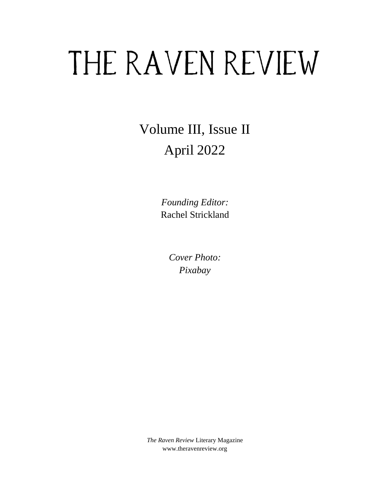# THE RAVEN REVIEW

Volume III, Issue II April 2022

> *Founding Editor:* Rachel Strickland

> > *Cover Photo: Pixabay*

*The Raven Review* Literary Magazine www.theravenreview.org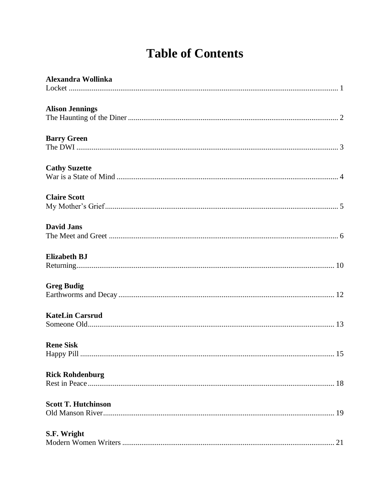## **Table of Contents**

| Alexandra Wollinka         |
|----------------------------|
|                            |
| <b>Alison Jennings</b>     |
| <b>Barry Green</b>         |
| <b>Cathy Suzette</b>       |
| <b>Claire Scott</b>        |
| <b>David Jans</b>          |
| <b>Elizabeth BJ</b>        |
| <b>Greg Budig</b>          |
| <b>KateLin Carsrud</b>     |
| <b>Rene Sisk</b>           |
| <b>Rick Rohdenburg</b>     |
| <b>Scott T. Hutchinson</b> |
| S.F. Wright                |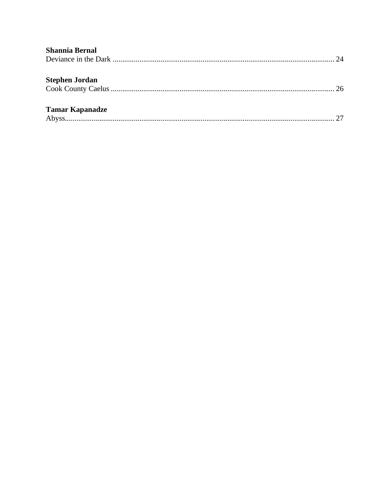| <b>Shannia Bernal</b>  |  |
|------------------------|--|
| 24                     |  |
|                        |  |
| <b>Stephen Jordan</b>  |  |
| 26                     |  |
|                        |  |
| <b>Tamar Kapanadze</b> |  |
|                        |  |
|                        |  |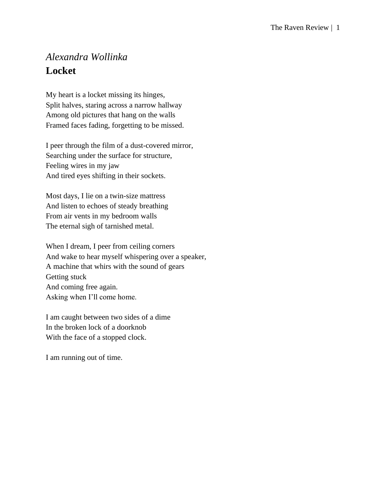## <span id="page-4-0"></span>*Alexandra Wollinka* **Locket**

My heart is a locket missing its hinges, Split halves, staring across a narrow hallway Among old pictures that hang on the walls Framed faces fading, forgetting to be missed.

I peer through the film of a dust-covered mirror, Searching under the surface for structure, Feeling wires in my jaw And tired eyes shifting in their sockets.

Most days, I lie on a twin-size mattress And listen to echoes of steady breathing From air vents in my bedroom walls The eternal sigh of tarnished metal.

When I dream, I peer from ceiling corners And wake to hear myself whispering over a speaker, A machine that whirs with the sound of gears Getting stuck And coming free again. Asking when I'll come home.

I am caught between two sides of a dime In the broken lock of a doorknob With the face of a stopped clock.

I am running out of time.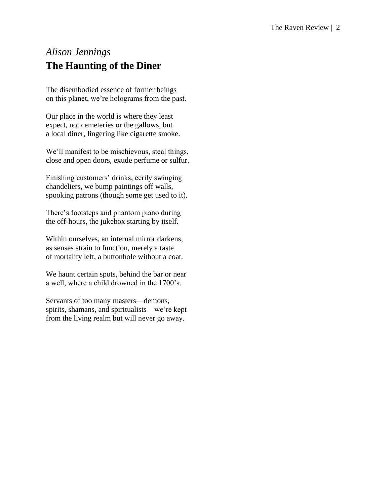## <span id="page-5-0"></span>*Alison Jennings* **The Haunting of the Diner**

The disembodied essence of former beings on this planet, we're holograms from the past.

Our place in the world is where they least expect, not cemeteries or the gallows, but a local diner, lingering like cigarette smoke.

We'll manifest to be mischievous, steal things, close and open doors, exude perfume or sulfur.

Finishing customers' drinks, eerily swinging chandeliers, we bump paintings off walls, spooking patrons (though some get used to it).

There's footsteps and phantom piano during the off-hours, the jukebox starting by itself.

Within ourselves, an internal mirror darkens, as senses strain to function, merely a taste of mortality left, a buttonhole without a coat.

We haunt certain spots, behind the bar or near a well, where a child drowned in the 1700's.

Servants of too many masters—demons, spirits, shamans, and spiritualists—we're kept from the living realm but will never go away.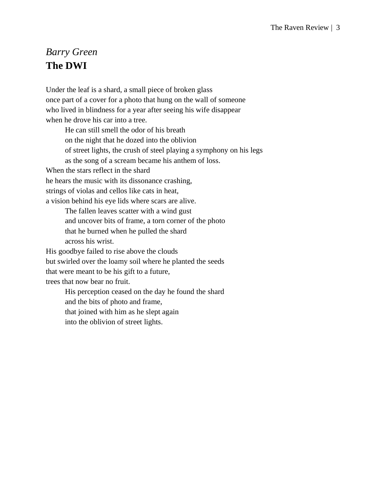## <span id="page-6-0"></span>*Barry Green* **The DWI**

Under the leaf is a shard, a small piece of broken glass once part of a cover for a photo that hung on the wall of someone who lived in blindness for a year after seeing his wife disappear when he drove his car into a tree.

He can still smell the odor of his breath on the night that he dozed into the oblivion of street lights, the crush of steel playing a symphony on his legs as the song of a scream became his anthem of loss. When the stars reflect in the shard he hears the music with its dissonance crashing, strings of violas and cellos like cats in heat, a vision behind his eye lids where scars are alive. The fallen leaves scatter with a wind gust and uncover bits of frame, a torn corner of the photo that he burned when he pulled the shard across his wrist. His goodbye failed to rise above the clouds but swirled over the loamy soil where he planted the seeds that were meant to be his gift to a future, trees that now bear no fruit. His perception ceased on the day he found the shard

and the bits of photo and frame,

that joined with him as he slept again

into the oblivion of street lights.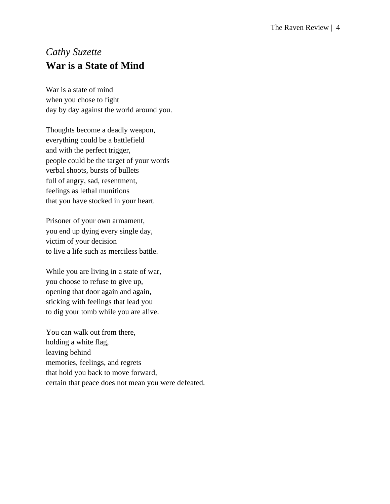## <span id="page-7-0"></span>*Cathy Suzette* **War is a State of Mind**

War is a state of mind when you chose to fight day by day against the world around you.

Thoughts become a deadly weapon, everything could be a battlefield and with the perfect trigger, people could be the target of your words verbal shoots, bursts of bullets full of angry, sad, resentment, feelings as lethal munitions that you have stocked in your heart.

Prisoner of your own armament, you end up dying every single day, victim of your decision to live a life such as merciless battle.

While you are living in a state of war, you choose to refuse to give up, opening that door again and again, sticking with feelings that lead you to dig your tomb while you are alive.

You can walk out from there, holding a white flag, leaving behind memories, feelings, and regrets that hold you back to move forward, certain that peace does not mean you were defeated.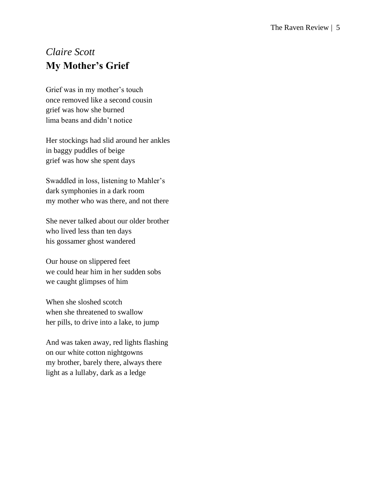## <span id="page-8-0"></span>*Claire Scott* **My Mother's Grief**

Grief was in my mother's touch once removed like a second cousin grief was how she burned lima beans and didn't notice

Her stockings had slid around her ankles in baggy puddles of beige grief was how she spent days

Swaddled in loss, listening to Mahler's dark symphonies in a dark room my mother who was there, and not there

She never talked about our older brother who lived less than ten days his gossamer ghost wandered

Our house on slippered feet we could hear him in her sudden sobs we caught glimpses of him

When she sloshed scotch when she threatened to swallow her pills, to drive into a lake, to jump

And was taken away, red lights flashing on our white cotton nightgowns my brother, barely there, always there light as a lullaby, dark as a ledge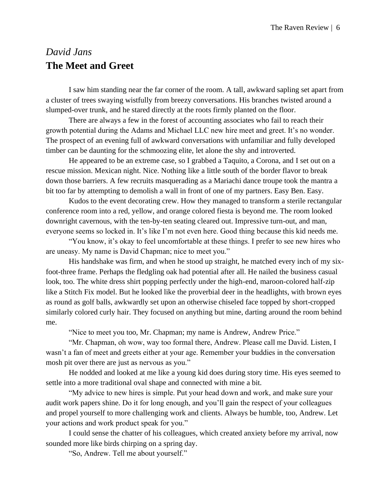## <span id="page-9-0"></span>*David Jans* **The Meet and Greet**

I saw him standing near the far corner of the room. A tall, awkward sapling set apart from a cluster of trees swaying wistfully from breezy conversations. His branches twisted around a slumped-over trunk, and he stared directly at the roots firmly planted on the floor.

There are always a few in the forest of accounting associates who fail to reach their growth potential during the Adams and Michael LLC new hire meet and greet. It's no wonder. The prospect of an evening full of awkward conversations with unfamiliar and fully developed timber can be daunting for the schmoozing elite, let alone the shy and introverted.

He appeared to be an extreme case, so I grabbed a Taquito, a Corona, and I set out on a rescue mission. Mexican night. Nice. Nothing like a little south of the border flavor to break down those barriers. A few recruits masquerading as a Mariachi dance troupe took the mantra a bit too far by attempting to demolish a wall in front of one of my partners. Easy Ben. Easy.

Kudos to the event decorating crew. How they managed to transform a sterile rectangular conference room into a red, yellow, and orange colored fiesta is beyond me. The room looked downright cavernous, with the ten-by-ten seating cleared out. Impressive turn-out, and man, everyone seems so locked in. It's like I'm not even here. Good thing because this kid needs me.

"You know, it's okay to feel uncomfortable at these things. I prefer to see new hires who are uneasy. My name is David Chapman; nice to meet you."

His handshake was firm, and when he stood up straight, he matched every inch of my sixfoot-three frame. Perhaps the fledgling oak had potential after all. He nailed the business casual look, too. The white dress shirt popping perfectly under the high-end, maroon-colored half-zip like a Stitch Fix model. But he looked like the proverbial deer in the headlights, with brown eyes as round as golf balls, awkwardly set upon an otherwise chiseled face topped by short-cropped similarly colored curly hair. They focused on anything but mine, darting around the room behind me.

"Nice to meet you too, Mr. Chapman; my name is Andrew, Andrew Price."

"Mr. Chapman, oh wow, way too formal there, Andrew. Please call me David. Listen, I wasn't a fan of meet and greets either at your age. Remember your buddies in the conversation mosh pit over there are just as nervous as you."

He nodded and looked at me like a young kid does during story time. His eyes seemed to settle into a more traditional oval shape and connected with mine a bit.

"My advice to new hires is simple. Put your head down and work, and make sure your audit work papers shine. Do it for long enough, and you'll gain the respect of your colleagues and propel yourself to more challenging work and clients. Always be humble, too, Andrew. Let your actions and work product speak for you."

I could sense the chatter of his colleagues, which created anxiety before my arrival, now sounded more like birds chirping on a spring day.

"So, Andrew. Tell me about yourself."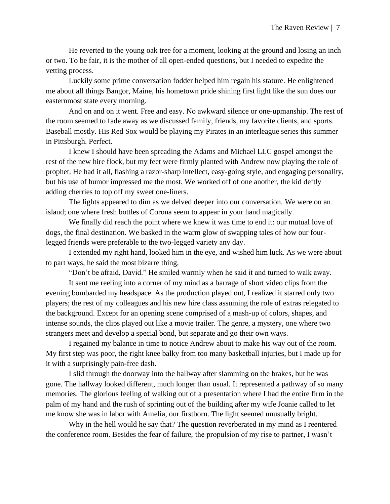He reverted to the young oak tree for a moment, looking at the ground and losing an inch or two. To be fair, it is the mother of all open-ended questions, but I needed to expedite the vetting process.

Luckily some prime conversation fodder helped him regain his stature. He enlightened me about all things Bangor, Maine, his hometown pride shining first light like the sun does our easternmost state every morning.

And on and on it went. Free and easy. No awkward silence or one-upmanship. The rest of the room seemed to fade away as we discussed family, friends, my favorite clients, and sports. Baseball mostly. His Red Sox would be playing my Pirates in an interleague series this summer in Pittsburgh. Perfect.

I knew I should have been spreading the Adams and Michael LLC gospel amongst the rest of the new hire flock, but my feet were firmly planted with Andrew now playing the role of prophet. He had it all, flashing a razor-sharp intellect, easy-going style, and engaging personality, but his use of humor impressed me the most. We worked off of one another, the kid deftly adding cherries to top off my sweet one-liners.

The lights appeared to dim as we delved deeper into our conversation. We were on an island; one where fresh bottles of Corona seem to appear in your hand magically.

We finally did reach the point where we knew it was time to end it: our mutual love of dogs, the final destination. We basked in the warm glow of swapping tales of how our fourlegged friends were preferable to the two-legged variety any day.

I extended my right hand, looked him in the eye, and wished him luck. As we were about to part ways, he said the most bizarre thing,

"Don't be afraid, David." He smiled warmly when he said it and turned to walk away.

It sent me reeling into a corner of my mind as a barrage of short video clips from the evening bombarded my headspace. As the production played out, I realized it starred only two players; the rest of my colleagues and his new hire class assuming the role of extras relegated to the background. Except for an opening scene comprised of a mash-up of colors, shapes, and intense sounds, the clips played out like a movie trailer. The genre, a mystery, one where two strangers meet and develop a special bond, but separate and go their own ways.

I regained my balance in time to notice Andrew about to make his way out of the room. My first step was poor, the right knee balky from too many basketball injuries, but I made up for it with a surprisingly pain-free dash.

I slid through the doorway into the hallway after slamming on the brakes, but he was gone. The hallway looked different, much longer than usual. It represented a pathway of so many memories. The glorious feeling of walking out of a presentation where I had the entire firm in the palm of my hand and the rush of sprinting out of the building after my wife Joanie called to let me know she was in labor with Amelia, our firstborn. The light seemed unusually bright.

Why in the hell would he say that? The question reverberated in my mind as I reentered the conference room. Besides the fear of failure, the propulsion of my rise to partner, I wasn't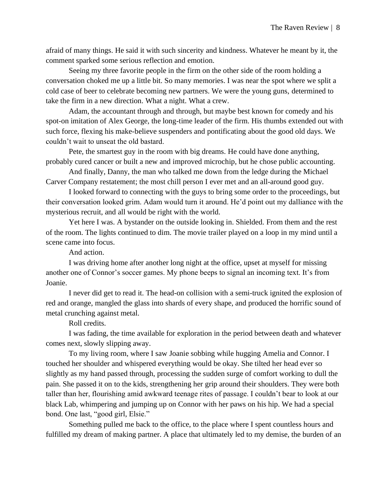afraid of many things. He said it with such sincerity and kindness. Whatever he meant by it, the comment sparked some serious reflection and emotion.

Seeing my three favorite people in the firm on the other side of the room holding a conversation choked me up a little bit. So many memories. I was near the spot where we split a cold case of beer to celebrate becoming new partners. We were the young guns, determined to take the firm in a new direction. What a night. What a crew.

Adam, the accountant through and through, but maybe best known for comedy and his spot-on imitation of Alex George, the long-time leader of the firm. His thumbs extended out with such force, flexing his make-believe suspenders and pontificating about the good old days. We couldn't wait to unseat the old bastard.

Pete, the smartest guy in the room with big dreams. He could have done anything, probably cured cancer or built a new and improved microchip, but he chose public accounting.

And finally, Danny, the man who talked me down from the ledge during the Michael Carver Company restatement; the most chill person I ever met and an all-around good guy.

I looked forward to connecting with the guys to bring some order to the proceedings, but their conversation looked grim. Adam would turn it around. He'd point out my dalliance with the mysterious recruit, and all would be right with the world.

Yet here I was. A bystander on the outside looking in. Shielded. From them and the rest of the room. The lights continued to dim. The movie trailer played on a loop in my mind until a scene came into focus.

And action.

I was driving home after another long night at the office, upset at myself for missing another one of Connor's soccer games. My phone beeps to signal an incoming text. It's from Joanie.

I never did get to read it. The head-on collision with a semi-truck ignited the explosion of red and orange, mangled the glass into shards of every shape, and produced the horrific sound of metal crunching against metal.

Roll credits.

I was fading, the time available for exploration in the period between death and whatever comes next, slowly slipping away.

To my living room, where I saw Joanie sobbing while hugging Amelia and Connor. I touched her shoulder and whispered everything would be okay. She tilted her head ever so slightly as my hand passed through, processing the sudden surge of comfort working to dull the pain. She passed it on to the kids, strengthening her grip around their shoulders. They were both taller than her, flourishing amid awkward teenage rites of passage. I couldn't bear to look at our black Lab, whimpering and jumping up on Connor with her paws on his hip. We had a special bond. One last, "good girl, Elsie."

Something pulled me back to the office, to the place where I spent countless hours and fulfilled my dream of making partner. A place that ultimately led to my demise, the burden of an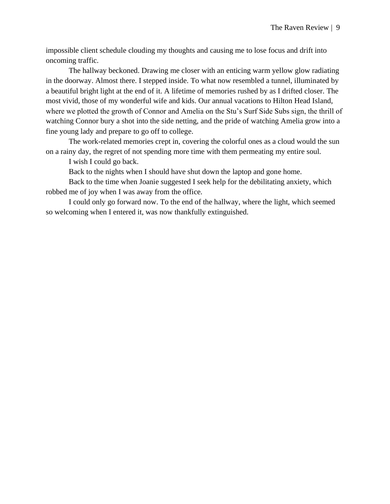impossible client schedule clouding my thoughts and causing me to lose focus and drift into oncoming traffic.

The hallway beckoned. Drawing me closer with an enticing warm yellow glow radiating in the doorway. Almost there. I stepped inside. To what now resembled a tunnel, illuminated by a beautiful bright light at the end of it. A lifetime of memories rushed by as I drifted closer. The most vivid, those of my wonderful wife and kids. Our annual vacations to Hilton Head Island, where we plotted the growth of Connor and Amelia on the Stu's Surf Side Subs sign, the thrill of watching Connor bury a shot into the side netting, and the pride of watching Amelia grow into a fine young lady and prepare to go off to college.

The work-related memories crept in, covering the colorful ones as a cloud would the sun on a rainy day, the regret of not spending more time with them permeating my entire soul.

I wish I could go back.

Back to the nights when I should have shut down the laptop and gone home.

Back to the time when Joanie suggested I seek help for the debilitating anxiety, which robbed me of joy when I was away from the office.

I could only go forward now. To the end of the hallway, where the light, which seemed so welcoming when I entered it, was now thankfully extinguished.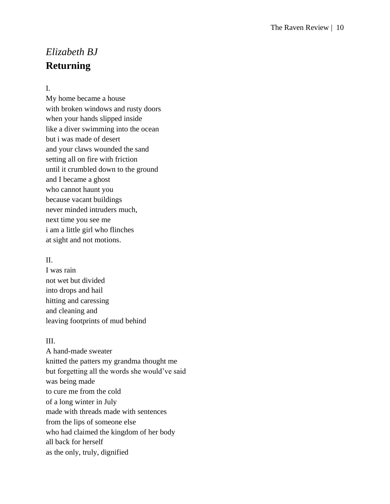## <span id="page-13-0"></span>*Elizabeth BJ* **Returning**

#### I.

My home became a house with broken windows and rusty doors when your hands slipped inside like a diver swimming into the ocean but i was made of desert and your claws wounded the sand setting all on fire with friction until it crumbled down to the ground and I became a ghost who cannot haunt you because vacant buildings never minded intruders much, next time you see me i am a little girl who flinches at sight and not motions.

#### II.

I was rain not wet but divided into drops and hail hitting and caressing and cleaning and leaving footprints of mud behind

#### III.

A hand-made sweater knitted the patters my grandma thought me but forgetting all the words she would've said was being made to cure me from the cold of a long winter in July made with threads made with sentences from the lips of someone else who had claimed the kingdom of her body all back for herself as the only, truly, dignified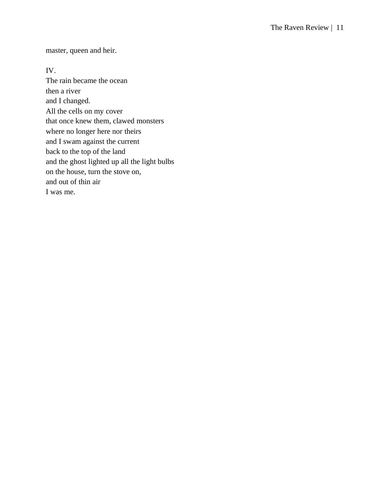master, queen and heir.

#### IV.

The rain became the ocean then a river and I changed. All the cells on my cover that once knew them, clawed monsters where no longer here nor theirs and I swam against the current back to the top of the land and the ghost lighted up all the light bulbs on the house, turn the stove on, and out of thin air I was me.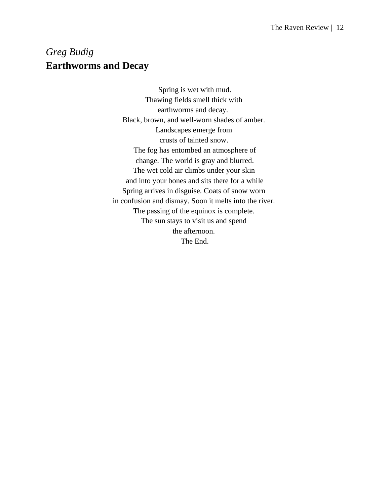## <span id="page-15-0"></span>*Greg Budig* **Earthworms and Decay**

Spring is wet with mud. Thawing fields smell thick with earthworms and decay. Black, brown, and well-worn shades of amber. Landscapes emerge from crusts of tainted snow. The fog has entombed an atmosphere of change. The world is gray and blurred. The wet cold air climbs under your skin and into your bones and sits there for a while Spring arrives in disguise. Coats of snow worn in confusion and dismay. Soon it melts into the river. The passing of the equinox is complete. The sun stays to visit us and spend the afternoon. The End.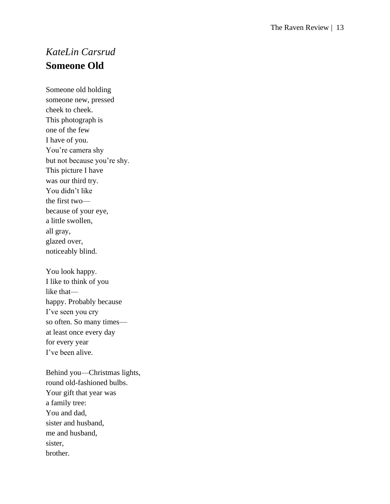## <span id="page-16-0"></span>*KateLin Carsrud* **Someone Old**

Someone old holding someone new, pressed che ek to che ek. This photograph is one of the few I have of you. You're camera shy but not because you're shy. This picture I have was our third try. You didn't like the first two because of your eye, a little swollen, all gray, glazed over, noticeably blind.

You look happy. I like to think of you like that happy. Probably because I've seen you cry so often. So many times at least once every day for every year I've been alive.

Behind you —Christmas lights, round old -fashioned bulbs. Your gift that year was a family tree: You and dad, sister and husband, me and husband, sister, brother.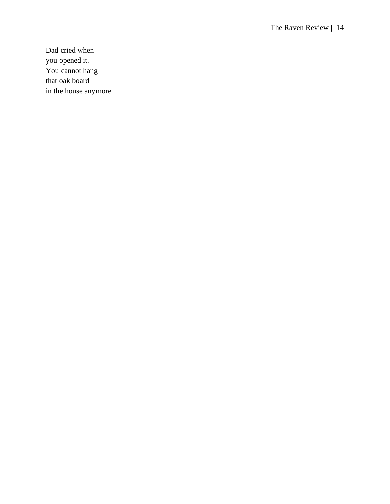Dad cried when you opened it. You cannot hang that oak board in the house anymore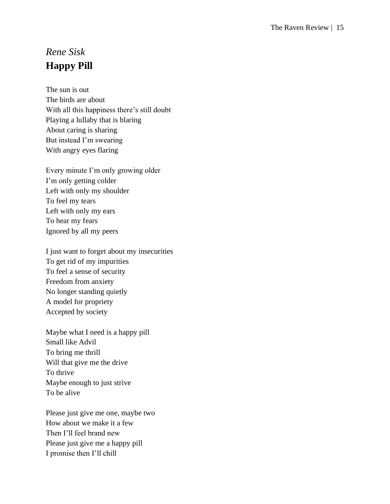## <span id="page-18-0"></span>*Rene Sisk* **Happy Pill**

The sun is out The birds are about With all this happiness there's still doubt Playing a lullaby that is blaring About caring is sharing But instead I'm swearing With angry eyes flaring

Every minute I'm only growing older I'm only getting colder Left with only my shoulder To feel my tears Left with only my ears To hear my fears Ignored by all my peers

I just want to forget about my insecurities To get rid of my impurities To feel a sense of security Freedom from anxiety No longer standing quietly A model for propriety Accepted by society

Maybe what I need is a happy pill Small like Advil To bring me thrill Will that give me the drive To thrive Maybe enough to just strive To be alive

Please just give me one, maybe two How about we make it a few Then I'll feel brand new Please just give me a happy pill I promise then I'll chill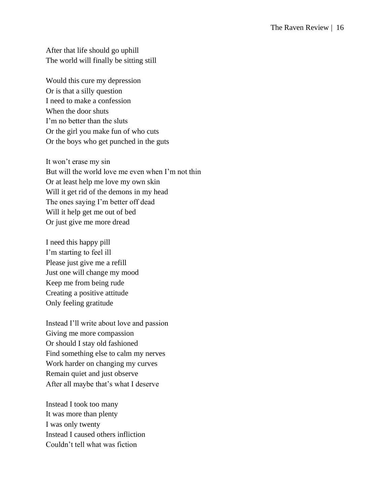After that life should go uphill The world will finally be sitting still

Would this cure my depression Or is that a silly question I need to make a confession When the door shuts I'm no better than the sluts Or the girl you make fun of who cuts Or the boys who get punched in the guts

It won't erase my sin But will the world love me even when I'm not thin Or at least help me love my own skin Will it get rid of the demons in my head The ones saying I'm better off dead Will it help get me out of bed Or just give me more dread

I need this happy pill I'm starting to feel ill Please just give me a refill Just one will change my mood Keep me from being rude Creating a positive attitude Only feeling gratitude

Instead I'll write about love and passion Giving me more compassion Or should I stay old fashioned Find something else to calm my nerves Work harder on changing my curves Remain quiet and just observe After all maybe that's what I deserve

Instead I took too many It was more than plenty I was only twenty Instead I caused others infliction Couldn't tell what was fiction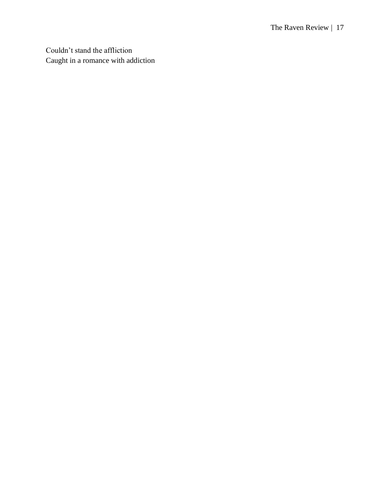Couldn't stand the affliction Caught in a romance with addiction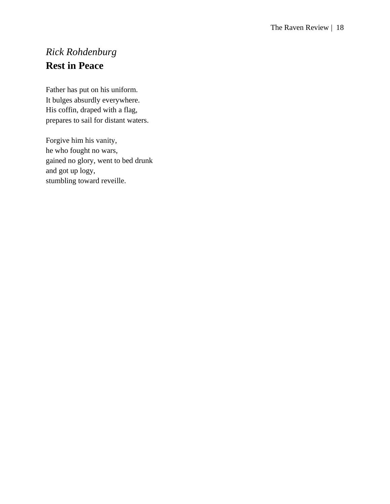## <span id="page-21-0"></span>*Rick Rohdenburg* **Rest in Peace**

Father has put on his uniform. It bulges absurdly everywhere. His coffin, draped with a flag, prepares to sail for distant waters.

Forgive him his vanity, he who fought no wars, gained no glory, went to bed drunk and got up logy, stumbling toward reveille.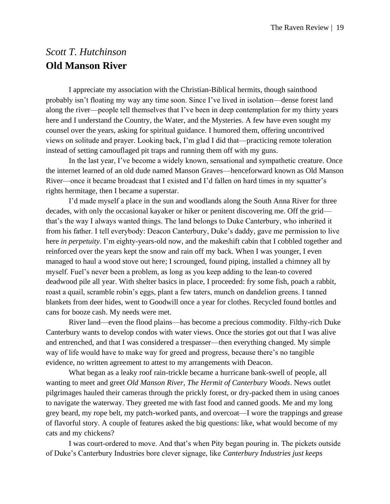## <span id="page-22-0"></span>*Scott T. Hutchinson* **Old Manson River**

I appreciate my association with the Christian-Biblical hermits, though sainthood probably isn't floating my way any time soon. Since I've lived in isolation—dense forest land along the river—people tell themselves that I've been in deep contemplation for my thirty years here and I understand the Country, the Water, and the Mysteries. A few have even sought my counsel over the years, asking for spiritual guidance. I humored them, offering uncontrived views on solitude and prayer. Looking back, I'm glad I did that—practicing remote toleration instead of setting camouflaged pit traps and running them off with my guns.

In the last year, I've become a widely known, sensational and sympathetic creature. Once the internet learned of an old dude named Manson Graves—henceforward known as Old Manson River—once it became broadcast that I existed and I'd fallen on hard times in my squatter's rights hermitage, then I became a superstar.

I'd made myself a place in the sun and woodlands along the South Anna River for three decades, with only the occasional kayaker or hiker or penitent discovering me. Off the grid that's the way I always wanted things. The land belongs to Duke Canterbury, who inherited it from his father. I tell everybody: Deacon Canterbury, Duke's daddy, gave me permission to live here *in perpetuity.* I'm eighty-years-old now, and the makeshift cabin that I cobbled together and reinforced over the years kept the snow and rain off my back. When I was younger, I even managed to haul a wood stove out here; I scrounged, found piping, installed a chimney all by myself. Fuel's never been a problem, as long as you keep adding to the lean-to covered deadwood pile all year. With shelter basics in place, I proceeded: fry some fish, poach a rabbit, roast a quail, scramble robin's eggs, plant a few taters, munch on dandelion greens. I tanned blankets from deer hides, went to Goodwill once a year for clothes. Recycled found bottles and cans for booze cash. My needs were met.

River land—even the flood plains—has become a precious commodity. Filthy-rich Duke Canterbury wants to develop condos with water views. Once the stories got out that I was alive and entrenched, and that I was considered a trespasser—then everything changed. My simple way of life would have to make way for greed and progress, because there's no tangible evidence, no written agreement to attest to my arrangements with Deacon.

What began as a leaky roof rain-trickle became a hurricane bank-swell of people, all wanting to meet and greet *Old Manson River, The Hermit of Canterbury Woods*. News outlet pilgrimages hauled their cameras through the prickly forest, or dry-packed them in using canoes to navigate the waterway. They greeted me with fast food and canned goods. Me and my long grey beard, my rope belt, my patch-worked pants, and overcoat—I wore the trappings and grease of flavorful story. A couple of features asked the big questions: like, what would become of my cats and my chickens?

I was court-ordered to move. And that's when Pity began pouring in. The pickets outside of Duke's Canterbury Industries bore clever signage, like *Canterbury Industries just keeps*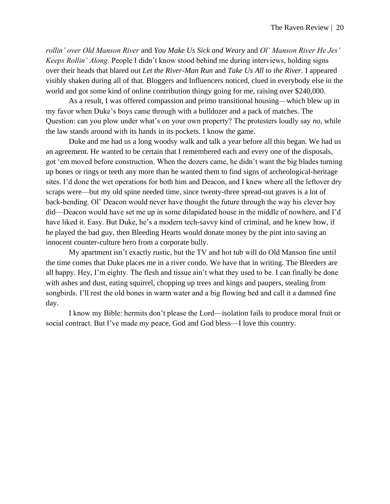*rollin' over Old Manson River* and *You Make Us Sick and Weary* and *Ol' Manson River He Jes' Keeps Rollin' Along.* People I didn't know stood behind me during interviews, holding signs over their heads that blared out *Let the River-Man Run* and *Take Us All to the River.* I appeared visibly shaken during all of that. Bloggers and Influencers noticed, clued in everybody else in the world and got some kind of online contribution thingy going for me, raising over \$240,000.

As a result, I was offered compassion and primo transitional housing—which blew up in my favor when Duke's boys came through with a bulldozer and a pack of matches. The Question: can you plow under what's on your own property? The protesters loudly say *no*, while the law stands around with its hands in its pockets. I know the game.

Duke and me had us a long woodsy walk and talk a year before all this began. We had us an agreement. He wanted to be certain that I remembered each and every one of the disposals, got 'em moved before construction. When the dozers came, he didn't want the big blades turning up bones or rings or teeth any more than he wanted them to find signs of archeological-heritage sites. I'd done the wet operations for both him and Deacon, and I knew where all the leftover dry scraps were—but my old spine needed time, since twenty-three spread-out graves is a lot of back-bending. Ol' Deacon would never have thought the future through the way his clever boy did—Deacon would have set me up in some dilapidated house in the middle of nowhere, and I'd have liked it. Easy. But Duke, he's a modern tech-savvy kind of criminal, and he knew how, if he played the bad guy, then Bleeding Hearts would donate money by the pint into saving an innocent counter-culture hero from a corporate bully.

My apartment isn't exactly rustic, but the TV and hot tub will do Old Manson fine until the time comes that Duke places me in a river condo. We have that in writing. The Bleeders are all happy. Hey, I'm eighty. The flesh and tissue ain't what they used to be. I can finally be done with ashes and dust, eating squirrel, chopping up trees and kings and paupers, stealing from songbirds. I'll rest the old bones in warm water and a big flowing bed and call it a damned fine day.

I know my Bible: hermits don't please the Lord—isolation fails to produce moral fruit or social contract. But I've made my peace, God and God bless—I love this country.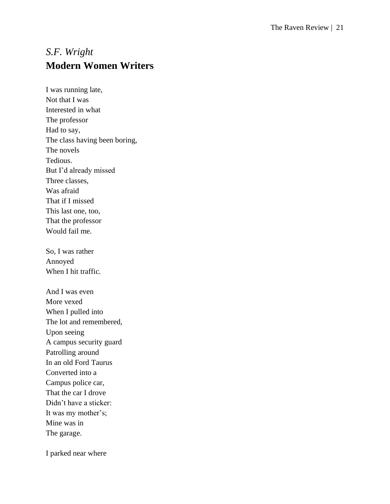## <span id="page-24-0"></span>*S.F. Wright* **Modern Women Writers**

I was running late, Not that I was Interested in what The professor Had to say, The class having been boring, The novels Tedious. But I'd already missed Three classes, Was afraid That if I missed This last one, too, That the professor Would fail me.

So, I was rather Annoyed When I hit traffic.

And I was even More vexed When I pulled into The lot and remembered, Upon seeing A campus security guard Patrolling around In an old Ford Taurus Converted into a Campus police car, That the car I drove Didn't have a sticker: It was my mother's; Mine was in The garage.

I parked near where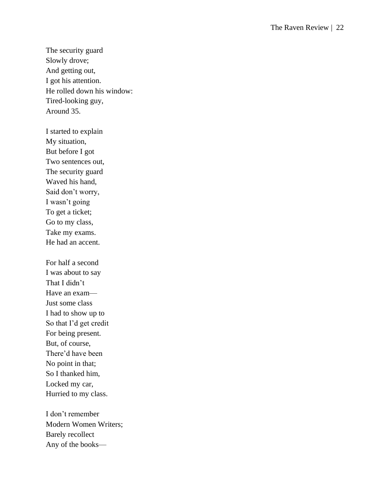The security guard Slowly drove; And getting out, I got his attention. He rolled down his window: Tired -looking guy, Around 35.

I started to explain My situation, But before I got Two sentences out, The security guard Waved his hand, Said don't worry, I wasn't going To get a ticket; Go to my class, Take my exams. He had an accent.

For half a second I was about to say That I didn't Have an exam— Just some class I had to show up to So that I'd get credit For being present. But, of course, There'd have been No point in that; So I thanked him, Locked my car, Hurried to my class.

I don't remember Modern Women Writers; Barely recollect Any of the books —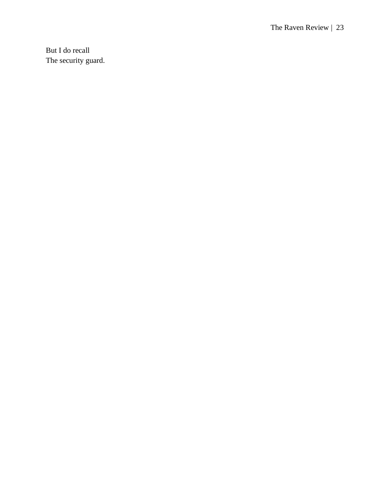But I do recall The security guard.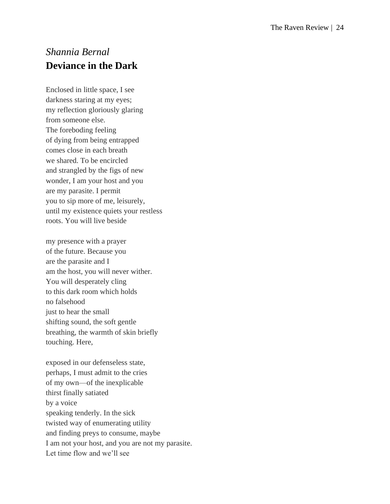## <span id="page-27-0"></span>*Shannia Bernal* **Deviance in the Dark**

Enclosed in little space, I see darkness staring at my eyes; my reflection gloriously glaring from someone else. The foreboding feeling of dying from being entrapped comes close in each breath we shared. To be encircled and strangled by the figs of new wonder, I am your host and you are my parasite. I permit you to sip more of me, leisurely, until my existence quiets your restless roots. You will live beside

my presence with a prayer of the future. Because you are the parasite and I am the host, you will never wither. You will desperately cling to this dark room which holds no falsehood just to hear the small shifting sound, the soft gentle breathing, the warmth of skin briefly touching. Here,

exposed in our defenseless state, perhaps, I must admit to the cries of my own—of the inexplicable thirst finally satiated by a voice speaking tenderly. In the sick twisted way of enumerating utility and finding preys to consume, maybe I am not your host, and you are not my parasite. Let time flow and we'll see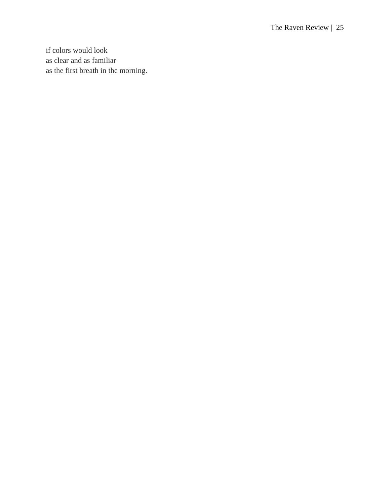if colors would look as clear and as familiar as the first breath in the morning.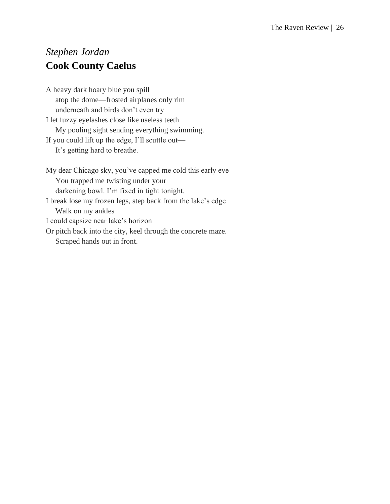## <span id="page-29-0"></span>*Stephen Jordan* **Cook County Caelus**

A heavy dark hoary blue you spill atop the dome—frosted airplanes only rim underneath and birds don't even try I let fuzzy eyelashes close like useless teeth My pooling sight sending everything swimming. If you could lift up the edge, I'll scuttle out— It's getting hard to breathe.

My dear Chicago sky, you've capped me cold this early eve You trapped me twisting under your darkening bowl. I'm fixed in tight tonight. I break lose my frozen legs, step back from the lake's edge Walk on my ankles I could capsize near lake's horizon Or pitch back into the city, keel through the concrete maze. Scraped hands out in front.